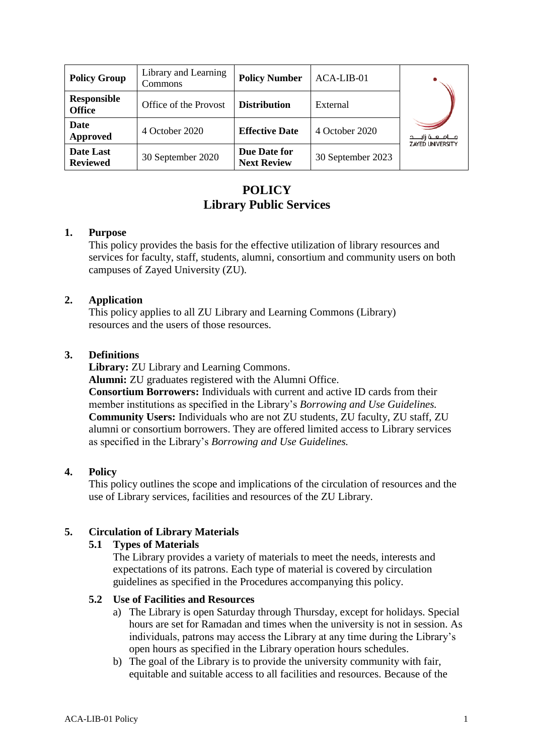| <b>Policy Group</b>                 | Library and Learning<br>Commons | <b>Policy Number</b>               | ACA-LIB-01        |                         |
|-------------------------------------|---------------------------------|------------------------------------|-------------------|-------------------------|
| <b>Responsible</b><br><b>Office</b> | Office of the Provost           | <b>Distribution</b>                | External          |                         |
| Date<br>Approved                    | 4 October 2020                  | <b>Effective Date</b>              | 4 October 2020    | <b>ZAYED UNIVERSITY</b> |
| <b>Date Last</b><br><b>Reviewed</b> | 30 September 2020               | Due Date for<br><b>Next Review</b> | 30 September 2023 |                         |

# **POLICY Library Public Services**

### **1. Purpose**

This policy provides the basis for the effective utilization of library resources and services for faculty, staff, students, alumni, consortium and community users on both campuses of Zayed University (ZU).

# **2. Application**

This policy applies to all ZU Library and Learning Commons (Library) resources and the users of those resources.

# **3. Definitions**

**Library:** ZU Library and Learning Commons.

**Alumni:** ZU graduates registered with the Alumni Office.

**Consortium Borrowers:** Individuals with current and active ID cards from their member institutions as specified in the Library's *Borrowing and Use Guidelines.* **Community Users:** Individuals who are not ZU students, ZU faculty, ZU staff, ZU alumni or consortium borrowers. They are offered limited access to Library services as specified in the Library's *Borrowing and Use Guidelines.*

# **4. Policy**

This policy outlines the scope and implications of the circulation of resources and the use of Library services, facilities and resources of the ZU Library.

# **5. Circulation of Library Materials**

# **5.1 Types of Materials**

The Library provides a variety of materials to meet the needs, interests and expectations of its patrons. Each type of material is covered by circulation guidelines as specified in the Procedures accompanying this policy.

# **5.2 Use of Facilities and Resources**

- a) The Library is open Saturday through Thursday, except for holidays. Special hours are set for Ramadan and times when the university is not in session. As individuals, patrons may access the Library at any time during the Library's open hours as specified in the Library operation hours schedules.
- b) The goal of the Library is to provide the university community with fair, equitable and suitable access to all facilities and resources. Because of the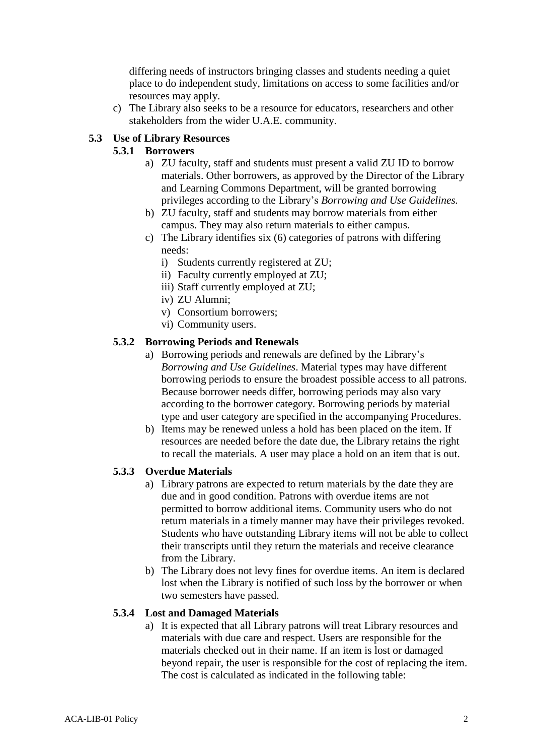differing needs of instructors bringing classes and students needing a quiet place to do independent study, limitations on access to some facilities and/or resources may apply.

c) The Library also seeks to be a resource for educators, researchers and other stakeholders from the wider U.A.E. community.

### **5.3 Use of Library Resources**

# **5.3.1 Borrowers**

- a) ZU faculty, staff and students must present a valid ZU ID to borrow materials. Other borrowers, as approved by the Director of the Library and Learning Commons Department, will be granted borrowing privileges according to the Library's *Borrowing and Use Guidelines.*
- b) ZU faculty, staff and students may borrow materials from either campus. They may also return materials to either campus.
- c) The Library identifies six (6) categories of patrons with differing needs:
	- i) Students currently registered at ZU;
	- ii) Faculty currently employed at ZU;
	- iii) Staff currently employed at ZU;
	- iv) ZU Alumni;
	- v) Consortium borrowers;
	- vi) Community users.

#### **5.3.2 Borrowing Periods and Renewals**

- a) Borrowing periods and renewals are defined by the Library's *Borrowing and Use Guidelines*. Material types may have different borrowing periods to ensure the broadest possible access to all patrons. Because borrower needs differ, borrowing periods may also vary according to the borrower category. Borrowing periods by material type and user category are specified in the accompanying Procedures.
- b) Items may be renewed unless a hold has been placed on the item. If resources are needed before the date due, the Library retains the right to recall the materials. A user may place a hold on an item that is out.

#### **5.3.3 Overdue Materials**

- a) Library patrons are expected to return materials by the date they are due and in good condition. Patrons with overdue items are not permitted to borrow additional items. Community users who do not return materials in a timely manner may have their privileges revoked. Students who have outstanding Library items will not be able to collect their transcripts until they return the materials and receive clearance from the Library.
- b) The Library does not levy fines for overdue items. An item is declared lost when the Library is notified of such loss by the borrower or when two semesters have passed.

#### **5.3.4 Lost and Damaged Materials**

a) It is expected that all Library patrons will treat Library resources and materials with due care and respect. Users are responsible for the materials checked out in their name. If an item is lost or damaged beyond repair, the user is responsible for the cost of replacing the item. The cost is calculated as indicated in the following table: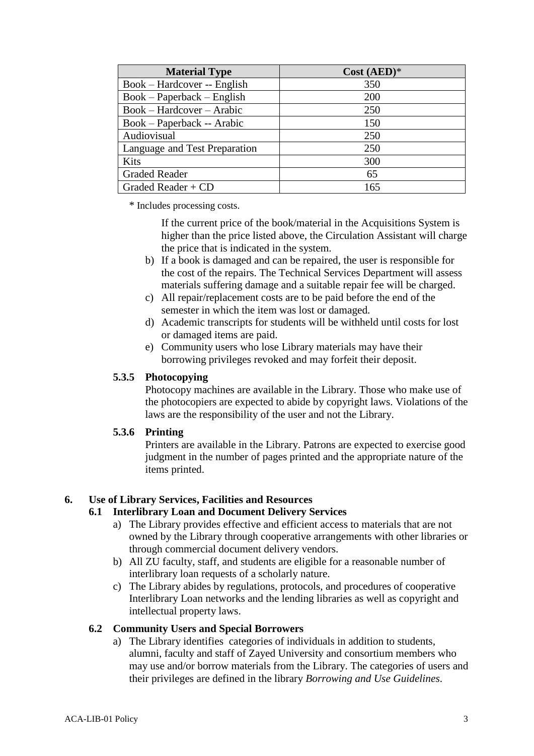| <b>Material Type</b>          | $Cost (AED)*$ |
|-------------------------------|---------------|
| Book – Hardcover -- English   | 350           |
| $Book - Paperback - English$  | <b>200</b>    |
| $Book - Hardcover - Arabic$   | 250           |
| Book – Paperback -- Arabic    | 150           |
| Audiovisual                   | 250           |
| Language and Test Preparation | 250           |
| <b>Kits</b>                   | 300           |
| <b>Graded Reader</b>          | 65            |
| Graded Reader + $CD$          | 165           |

\* Includes processing costs.

If the current price of the book/material in the Acquisitions System is higher than the price listed above, the Circulation Assistant will charge the price that is indicated in the system.

- b) If a book is damaged and can be repaired, the user is responsible for the cost of the repairs. The Technical Services Department will assess materials suffering damage and a suitable repair fee will be charged.
- c) All repair/replacement costs are to be paid before the end of the semester in which the item was lost or damaged.
- d) Academic transcripts for students will be withheld until costs for lost or damaged items are paid.
- e) Community users who lose Library materials may have their borrowing privileges revoked and may forfeit their deposit.

# **5.3.5 Photocopying**

Photocopy machines are available in the Library. Those who make use of the photocopiers are expected to abide by copyright laws. Violations of the laws are the responsibility of the user and not the Library.

# **5.3.6 Printing**

Printers are available in the Library. Patrons are expected to exercise good judgment in the number of pages printed and the appropriate nature of the items printed.

# **6. Use of Library Services, Facilities and Resources**

# **6.1 Interlibrary Loan and Document Delivery Services**

- a) The Library provides effective and efficient access to materials that are not owned by the Library through cooperative arrangements with other libraries or through commercial document delivery vendors.
- b) All ZU faculty, staff, and students are eligible for a reasonable number of interlibrary loan requests of a scholarly nature.
- c) The Library abides by regulations, protocols, and procedures of cooperative Interlibrary Loan networks and the lending libraries as well as copyright and intellectual property laws.

# **6.2 Community Users and Special Borrowers**

a) The Library identifies categories of individuals in addition to students, alumni, faculty and staff of Zayed University and consortium members who may use and/or borrow materials from the Library. The categories of users and their privileges are defined in the library *Borrowing and Use Guidelines*.